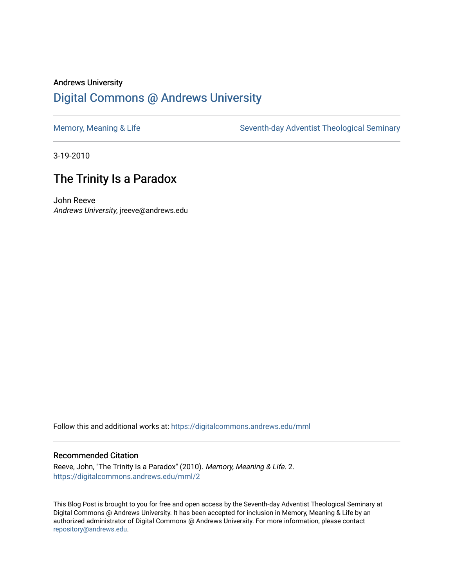# Andrews University [Digital Commons @ Andrews University](https://digitalcommons.andrews.edu/)

[Memory, Meaning & Life](https://digitalcommons.andrews.edu/mml) Seventh-day Adventist Theological Seminary

3-19-2010

# The Trinity Is a Paradox

John Reeve Andrews University, jreeve@andrews.edu

Follow this and additional works at: [https://digitalcommons.andrews.edu/mml](https://digitalcommons.andrews.edu/mml?utm_source=digitalcommons.andrews.edu%2Fmml%2F2&utm_medium=PDF&utm_campaign=PDFCoverPages) 

#### Recommended Citation

Reeve, John, "The Trinity Is a Paradox" (2010). Memory, Meaning & Life. 2. [https://digitalcommons.andrews.edu/mml/2](https://digitalcommons.andrews.edu/mml/2?utm_source=digitalcommons.andrews.edu%2Fmml%2F2&utm_medium=PDF&utm_campaign=PDFCoverPages) 

This Blog Post is brought to you for free and open access by the Seventh-day Adventist Theological Seminary at Digital Commons @ Andrews University. It has been accepted for inclusion in Memory, Meaning & Life by an authorized administrator of Digital Commons @ Andrews University. For more information, please contact [repository@andrews.edu](mailto:repository@andrews.edu).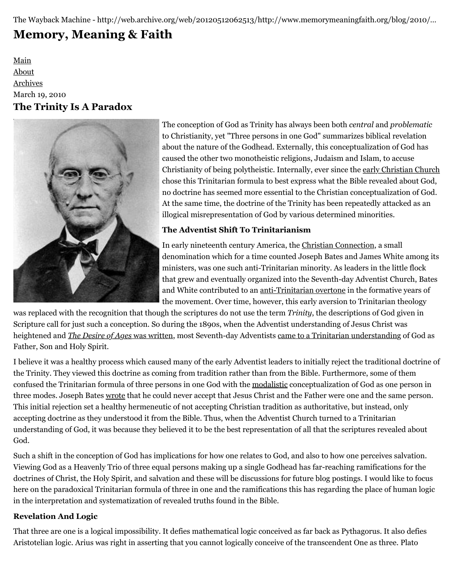The Wayback Machine - http://web.archive.org/web/20120512062513/http://www.memorymeaningfaith.org/blog/2010/…

# **[Memory, Meaning & Faith](http://web.archive.org/web/20120512062513/http://www.memorymeaningfaith.org/blog/)**

[Main](http://web.archive.org/web/20120512062513/http://www.memorymeaningfaith.org/blog) [About](http://web.archive.org/web/20120512062513/http://www.memorymeaningfaith.org/blog/about.html) [Archives](http://web.archive.org/web/20120512062513/http://www.memorymeaningfaith.org/blog/archives.html) March 19, 2010 **The Trinity Is A Paradox**



[T](http://web.archive.org/web/20120512062513/http://en.wikipedia.org/wiki/Joseph_Bates_%28Adventist%29)he conception of God as Trinity has always been both *central* and *problematic* to Christianity, yet "Three persons in one God" summarizes biblical revelation about the nature of the Godhead. Externally, this conceptualization of God has caused the other two monotheistic religions, Judaism and Islam, to accuse Christianity of being polytheistic. Internally, ever since the [early Christian Church](http://web.archive.org/web/20120512062513/http://atsjats.org/site/1/podcast/06_Trinity_Reeve_Early_Centuries.mp3) chose this Trinitarian formula to best express what the Bible revealed about God, no doctrine has seemed more essential to the Christian conceptualization of God. At the same time, the doctrine of the Trinity has been repeatedly attacked as an illogical misrepresentation of God by various determined minorities.

# **The Adventist Shift To Trinitarianism**

In early nineteenth century America, the [Christian Connection,](http://web.archive.org/web/20120512062513/http://en.wikipedia.org/wiki/Christian_Connection) a small denomination which for a time counted Joseph Bates and James White among its ministers, was one such anti-Trinitarian minority. As leaders in the little flock that grew and eventually organized into the Seventh-day Adventist Church, Bates and White contributed to an [anti-Trinitarian overtone](http://web.archive.org/web/20120512062513/http://www.auss.info/auss_publication.php?pub_id=1055&journal=1&cmd=view&hash=) in the formative years of the movement. Over time, however, this early aversion to Trinitarian theology

was replaced with the recognition that though the scriptures do not use the term *Trinity*, the descriptions of God given in Scripture call for just such a conception. So during the 1890s, when the Adventist understanding of Jesus Christ was heightened and *[The Desire of Ages](http://web.archive.org/web/20120512062513/http://www.auss.info/auss_publication.php?pub_id=1065&journal=1&cmd=view&hash=)* was written, most Seventh-day Adventists [came to a Trinitarian understanding](http://web.archive.org/web/20120512062513/http://www.atsjats.org/publication_file.php?pub_id=240&journal=1&type=pdf) of God as Father, Son and Holy Spirit.

I believe it was a healthy process which caused many of the early Adventist leaders to initially reject the traditional doctrine of the Trinity. They viewed this doctrine as coming from tradition rather than from the Bible. Furthermore, some of them confused the Trinitarian formula of three persons in one God with the [modalistic](http://web.archive.org/web/20120512062513/http://en.wikipedia.org/wiki/Sabellianism) conceptualization of God as one person in three modes. Joseph Bates [wrote](http://web.archive.org/web/20120512062513/http://www.ministrymagazine.org/archive/2009/February/the-trinity.html) that he could never accept that Jesus Christ and the Father were one and the same person. This initial rejection set a healthy hermeneutic of not accepting Christian tradition as authoritative, but instead, only accepting doctrine as they understood it from the Bible. Thus, when the Adventist Church turned to a Trinitarian understanding of God, it was because they believed it to be the best representation of all that the scriptures revealed about God.

Such a shift in the conception of God has implications for how one relates to God, and also to how one perceives salvation. Viewing God as a Heavenly Trio of three equal persons making up a single Godhead has far-reaching ramifications for the doctrines of Christ, the Holy Spirit, and salvation and these will be discussions for future blog postings. I would like to focus here on the paradoxical Trinitarian formula of three in one and the ramifications this has regarding the place of human logic in the interpretation and systematization of revealed truths found in the Bible.

# **Revelation And Logic**

That three are one is a logical impossibility. It defies mathematical logic conceived as far back as Pythagorus. It also defies Aristotelian logic. Arius was right in asserting that you cannot logically conceive of the transcendent One as three. Plato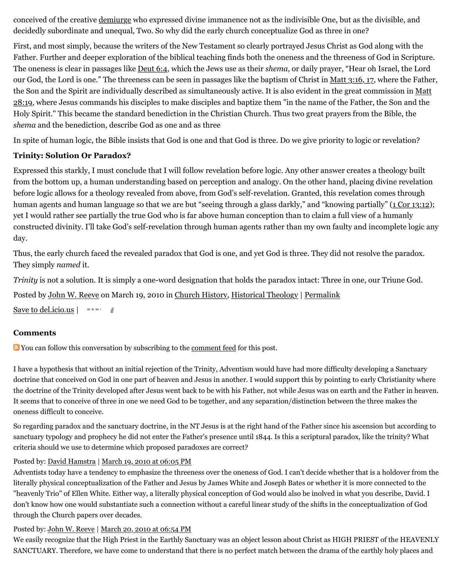conceived of the creative [demiurge](http://web.archive.org/web/20120512062513/http://en.wikipedia.org/wiki/Demiurge) who expressed divine immanence not as the indivisible One, but as the divisible, and decidedly subordinate and unequal, Two. So why did the early church conceptualize God as three in one?

First, and most simply, because the writers of the New Testament so clearly portrayed Jesus Christ as God along with the Father. Further and deeper exploration of the biblical teaching finds both the oneness and the threeness of God in Scripture. The oneness is clear in passages like [Deut 6:4,](http://web.archive.org/web/20120512062513/http://www.biblestudytools.com/nas/deuteronomy/6-4.html) which the Jews use as their *shema*, or daily prayer, "Hear oh Israel, the Lord our God, the Lord is one." The threeness can be seen in passages like the baptism of Christ in [Matt 3:16, 17](http://web.archive.org/web/20120512062513/http://www.biblestudytools.com/nas/matthew/passage.aspx?q=Matthew+3:16-17), where the Father, [the Son and the Spirit are individually described as simultaneously active. It is also evident in the great commission in Matt](http://web.archive.org/web/20120512062513/http://www.biblestudytools.com/nas/matthew/28-19.html) 28:19, where Jesus commands his disciples to make disciples and baptize them "in the name of the Father, the Son and the Holy Spirit." This became the standard benediction in the Christian Church. Thus two great prayers from the Bible, the *shema* and the benediction, describe God as one and as three

In spite of human logic, the Bible insists that God is one and that God is three. Do we give priority to logic or revelation?

# **Trinity: Solution Or Paradox?**

Expressed this starkly, I must conclude that I will follow revelation before logic. Any other answer creates a theology built from the bottom up, a human understanding based on perception and analogy. On the other hand, placing divine revelation before logic allows for a theology revealed from above, from God's self-revelation. Granted, this revelation comes through human agents and human language so that we are but "seeing through a glass darkly," and "knowing partially" ([1 Cor 13:12](http://web.archive.org/web/20120512062513/http://www.biblestudytools.com/nas/1-corinthians/13-12.html)); yet I would rather see partially the true God who is far above human conception than to claim a full view of a humanly constructed divinity. I'll take God's self-revelation through human agents rather than my own faulty and incomplete logic any day.

Thus, the early church faced the revealed paradox that God is one, and yet God is three. They did not resolve the paradox. They simply *named* it.

*Trinity* is not a solution. It is simply a one-word designation that holds the paradox intact: Three in one, our Triune God.

Posted by [John W. Reeve](http://web.archive.org/web/20120512062513/http://profile.typepad.com/jreeve) on March 19, 2010 in [Church History,](http://web.archive.org/web/20120512062513/http://www.memorymeaningfaith.org/blog/church-history/) [Historical Theology](http://web.archive.org/web/20120512062513/http://www.memorymeaningfaith.org/blog/theology/) | [Permalink](http://web.archive.org/web/20120512062513/http://www.memorymeaningfaith.org/blog/2010/03/the-trinity-is-a-paradox.html)

[Save to del.icio.us](http://web.archive.org/web/20120512062513/http://del.icio.us/post)  $\vert$ 

# **Comments**

**N** You can follow this conversation by subscribing to the [comment feed](http://web.archive.org/web/20120512062513/http://www.memorymeaningfaith.org/blog/2010/03/the-trinity-is-a-paradox/comments/atom.xml) for this post.

I have a hypothesis that without an initial rejection of the Trinity, Adventism would have had more difficulty developing a Sanctuary doctrine that conceived on God in one part of heaven and Jesus in another. I would support this by pointing to early Christianity where the doctrine of the Trinity developed after Jesus went back to be with his Father, not while Jesus was on earth and the Father in heaven. It seems that to conceive of three in one we need God to be together, and any separation/distinction between the three makes the oneness difficult to conceive.

So regarding paradox and the sanctuary doctrine, in the NT Jesus is at the right hand of the Father since his ascension but according to sanctuary typology and prophecy he did not enter the Father's presence until 1844. Is this a scriptural paradox, like the trinity? What criteria should we use to determine which proposed paradoxes are correct?

# Posted by: [David Hamstra](http://web.archive.org/web/20120512062513/http://profile.typepad.com/davidhamstra) | [March 19, 2010 at 06:05 PM](http://web.archive.org/web/20120512062513/http://www.memorymeaningfaith.org/blog/2010/03/the-trinity-is-a-paradox.html?cid=6a01287656f488970c01310fbdcda9970c#comment-6a01287656f488970c01310fbdcda9970c)

Adventists today have a tendency to emphasize the threeness over the oneness of God. I can't decide whether that is a holdover from the literally physical conceptualization of the Father and Jesus by James White and Joseph Bates or whether it is more connected to the "heavenly Trio" of Ellen White. Either way, a literally physical conception of God would also be inolved in what you describe, David. I don't know how one would substantiate such a connection without a careful linear study of the shifts in the conceptualization of God through the Church papers over decades.

Posted by: [John W. Reeve](http://web.archive.org/web/20120512062513/http://profile.typepad.com/jreeve) | [March 20, 2010 at 06:54 PM](http://web.archive.org/web/20120512062513/http://www.memorymeaningfaith.org/blog/2010/03/the-trinity-is-a-paradox.html?cid=6a01287656f488970c01310fc2901e970c#comment-6a01287656f488970c01310fc2901e970c)

We easily recognize that the High Priest in the Earthly Sanctuary was an object lesson about Christ as HIGH PRIEST of the HEAVENLY SANCTUARY. Therefore, we have come to understand that there is no perfect match between the drama of the earthly holy places and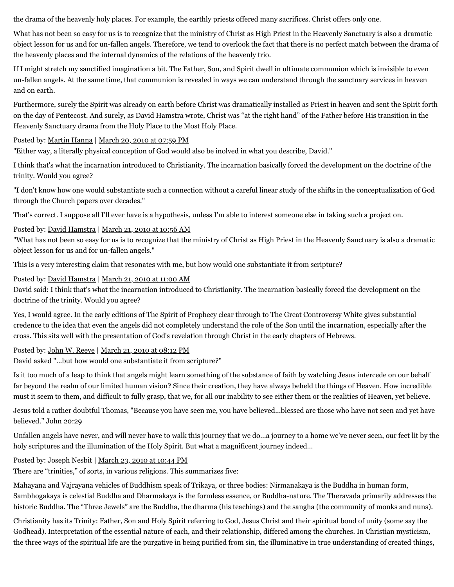the drama of the heavenly holy places. For example, the earthly priests offered many sacrifices. Christ offers only one.

What has not been so easy for us is to recognize that the ministry of Christ as High Priest in the Heavenly Sanctuary is also a dramatic object lesson for us and for un-fallen angels. Therefore, we tend to overlook the fact that there is no perfect match between the drama of the heavenly places and the internal dynamics of the relations of the heavenly trio.

If I might stretch my sanctified imagination a bit. The Father, Son, and Spirit dwell in ultimate communion which is invisible to even un-fallen angels. At the same time, that communion is revealed in ways we can understand through the sanctuary services in heaven and on earth.

Furthermore, surely the Spirit was already on earth before Christ was dramatically installed as Priest in heaven and sent the Spirit forth on the day of Pentecost. And surely, as David Hamstra wrote, Christ was "at the right hand" of the Father before His transition in the Heavenly Sanctuary drama from the Holy Place to the Most Holy Place.

Posted by: [Martin Hanna](http://web.archive.org/web/20120512062513/http://cosmicchristconnections.blogspot.com/) | [March 20, 2010 at 07:59 PM](http://web.archive.org/web/20120512062513/http://www.memorymeaningfaith.org/blog/2010/03/the-trinity-is-a-paradox.html?cid=6a01287656f488970c0120a95bd631970b#comment-6a01287656f488970c0120a95bd631970b)

"Either way, a literally physical conception of God would also be inolved in what you describe, David."

I think that's what the incarnation introduced to Christianity. The incarnation basically forced the development on the doctrine of the trinity. Would you agree?

"I don't know how one would substantiate such a connection without a careful linear study of the shifts in the conceptualization of God through the Church papers over decades."

That's correct. I suppose all I'll ever have is a hypothesis, unless I'm able to interest someone else in taking such a project on.

Posted by: [David Hamstra](http://web.archive.org/web/20120512062513/http://profile.typepad.com/davidhamstra) | [March 21, 2010 at 10:56 AM](http://web.archive.org/web/20120512062513/http://www.memorymeaningfaith.org/blog/2010/03/the-trinity-is-a-paradox.html?cid=6a01287656f488970c01310fc53719970c#comment-6a01287656f488970c01310fc53719970c)

"What has not been so easy for us is to recognize that the ministry of Christ as High Priest in the Heavenly Sanctuary is also a dramatic object lesson for us and for un-fallen angels."

This is a very interesting claim that resonates with me, but how would one substantiate it from scripture?

Posted by: [David Hamstra](http://web.archive.org/web/20120512062513/http://profile.typepad.com/davidhamstra) | [March 21, 2010 at 11:00 AM](http://web.archive.org/web/20120512062513/http://www.memorymeaningfaith.org/blog/2010/03/the-trinity-is-a-paradox.html?cid=6a01287656f488970c01310fc53a92970c#comment-6a01287656f488970c01310fc53a92970c)

David said: I think that's what the incarnation introduced to Christianity. The incarnation basically forced the development on the doctrine of the trinity. Would you agree?

Yes, I would agree. In the early editions of The Spirit of Prophecy clear through to The Great Controversy White gives substantial credence to the idea that even the angels did not completely understand the role of the Son until the incarnation, especially after the cross. This sits well with the presentation of God's revelation through Christ in the early chapters of Hebrews.

Posted by: [John W. Reeve](http://web.archive.org/web/20120512062513/http://profile.typepad.com/jreeve) | [March 21, 2010 at 08:12 PM](http://web.archive.org/web/20120512062513/http://www.memorymeaningfaith.org/blog/2010/03/the-trinity-is-a-paradox.html?cid=6a01287656f488970c0120a9605439970b#comment-6a01287656f488970c0120a9605439970b)

David asked "...but how would one substantiate it from scripture?"

Is it too much of a leap to think that angels might learn something of the substance of faith by watching Jesus intercede on our behalf far beyond the realm of our limited human vision? Since their creation, they have always beheld the things of Heaven. How incredible must it seem to them, and difficult to fully grasp, that we, for all our inability to see either them or the realities of Heaven, yet believe.

Jesus told a rather doubtful Thomas, "Because you have seen me, you have believed...blessed are those who have not seen and yet have believed." John 20:29

Unfallen angels have never, and will never have to walk this journey that we do...a journey to a home we've never seen, our feet lit by the holy scriptures and the illumination of the Holy Spirit. But what a magnificent journey indeed...

Posted by: Joseph Nesbit | [March 23, 2010 at 10:44 PM](http://web.archive.org/web/20120512062513/http://www.memorymeaningfaith.org/blog/2010/03/the-trinity-is-a-paradox.html?cid=6a01287656f488970c01310fd40411970c#comment-6a01287656f488970c01310fd40411970c)

There are "trinities," of sorts, in various religions. This summarizes five:

Mahayana and Vajrayana vehicles of Buddhism speak of Trikaya, or three bodies: Nirmanakaya is the Buddha in human form, Sambhogakaya is celestial Buddha and Dharmakaya is the formless essence, or Buddha-nature. The Theravada primarily addresses the historic Buddha. The "Three Jewels" are the Buddha, the dharma (his teachings) and the sangha (the community of monks and nuns).

Christianity has its Trinity: Father, Son and Holy Spirit referring to God, Jesus Christ and their spiritual bond of unity (some say the Godhead). Interpretation of the essential nature of each, and their relationship, differed among the churches. In Christian mysticism, the three ways of the spiritual life are the purgative in being purified from sin, the illuminative in true understanding of created things,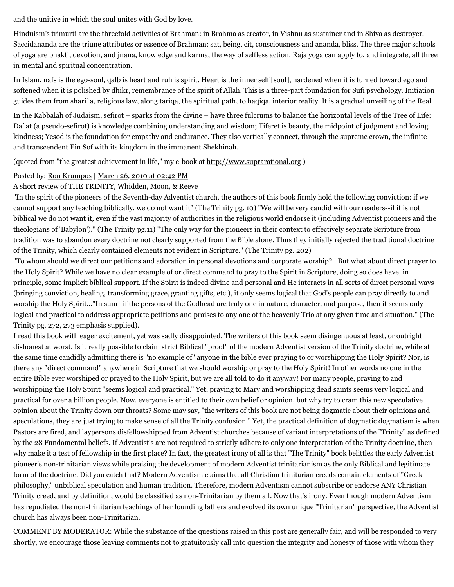and the unitive in which the soul unites with God by love.

Hinduism's trimurti are the threefold activities of Brahman: in Brahma as creator, in Vishnu as sustainer and in Shiva as destroyer. Saccidananda are the triune attributes or essence of Brahman: sat, being, cit, consciousness and ananda, bliss. The three major schools of yoga are bhakti, devotion, and jnana, knowledge and karma, the way of selfless action. Raja yoga can apply to, and integrate, all three in mental and spiritual concentration.

In Islam, nafs is the ego-soul, qalb is heart and ruh is spirit. Heart is the inner self [soul], hardened when it is turned toward ego and softened when it is polished by dhikr, remembrance of the spirit of Allah. This is a three-part foundation for Sufi psychology. Initiation guides them from shari`a, religious law, along tariqa, the spiritual path, to haqiqa, interior reality. It is a gradual unveiling of the Real.

In the Kabbalah of Judaism, sefirot – sparks from the divine – have three fulcrums to balance the horizontal levels of the Tree of Life: Da`at (a pseudo-sefirot) is knowledge combining understanding and wisdom; Tiferet is beauty, the midpoint of judgment and loving kindness; Yesod is the foundation for empathy and endurance. They also vertically connect, through the supreme crown, the infinite and transcendent Ein Sof with its kingdom in the immanent Shekhinah.

(quoted from "the greatest achievement in life," my e-book at [http://www.suprarational.org](http://web.archive.org/web/20120512062513/http://www.suprarational.org/) )

#### Posted by: [Ron Krumpos](http://web.archive.org/web/20120512062513/http://www.suprarational.org/) | [March 26, 2010 at 02:42 PM](http://web.archive.org/web/20120512062513/http://www.memorymeaningfaith.org/blog/2010/03/the-trinity-is-a-paradox.html?cid=6a01287656f488970c01310fe3c890970c#comment-6a01287656f488970c01310fe3c890970c)

#### A short review of THE TRINITY, Whidden, Moon, & Reeve

"In the spirit of the pioneers of the Seventh-day Adventist church, the authors of this book firmly hold the following conviction: if we cannot support any teaching biblically, we do not want it" (The Trinity pg. 10) "We will be very candid with our readers--if it is not biblical we do not want it, even if the vast majority of authorities in the religious world endorse it (including Adventist pioneers and the theologians of 'Babylon')." (The Trinity pg.11) "The only way for the pioneers in their context to effectively separate Scripture from tradition was to abandon every doctrine not clearly supported from the Bible alone. Thus they initially rejected the traditional doctrine of the Trinity, which clearly contained elements not evident in Scripture." (The Trinity pg. 202)

"To whom should we direct our petitions and adoration in personal devotions and corporate worship?...But what about direct prayer to the Holy Spirit? While we have no clear example of or direct command to pray to the Spirit in Scripture, doing so does have, in principle, some implicit biblical support. If the Spirit is indeed divine and personal and He interacts in all sorts of direct personal ways (bringing conviction, healing, transforming grace, granting gifts, etc.), it only seems logical that God's people can pray directly to and worship the Holy Spirit..."In sum--if the persons of the Godhead are truly one in nature, character, and purpose, then it seems only logical and practical to address appropriate petitions and praises to any one of the heavenly Trio at any given time and situation." (The Trinity pg. 272, 273 emphasis supplied).

I read this book with eager excitement, yet was sadly disappointed. The writers of this book seem disingenuous at least, or outright dishonest at worst. Is it really possible to claim strict Biblical "proof" of the modern Adventist version of the Trinity doctrine, while at the same time candidly admitting there is "no example of" anyone in the bible ever praying to or worshipping the Holy Spirit? Nor, is there any "direct command" anywhere in Scripture that we should worship or pray to the Holy Spirit! In other words no one in the entire Bible ever worshiped or prayed to the Holy Spirit, but we are all told to do it anyway! For many people, praying to and worshipping the Holy Spirit "seems logical and practical." Yet, praying to Mary and worshipping dead saints seems very logical and practical for over a billion people. Now, everyone is entitled to their own belief or opinion, but why try to cram this new speculative opinion about the Trinity down our throats? Some may say, "the writers of this book are not being dogmatic about their opinions and speculations, they are just trying to make sense of all the Trinity confusion." Yet, the practical definition of dogmatic dogmatism is when Pastors are fired, and laypersons disfellowshipped from Adventist churches because of variant interpretations of the "Trinity" as defined by the 28 Fundamental beliefs. If Adventist's are not required to strictly adhere to only one interpretation of the Trinity doctrine, then why make it a test of fellowship in the first place? In fact, the greatest irony of all is that "The Trinity" book belittles the early Adventist pioneer's non-trinitarian views while praising the development of modern Adventist trinitarianism as the only Biblical and legitimate form of the doctrine. Did you catch that? Modern Adventism claims that all Christian trinitarian creeds contain elements of "Greek philosophy," unbiblical speculation and human tradition. Therefore, modern Adventism cannot subscribe or endorse ANY Christian Trinity creed, and by definition, would be classified as non-Trinitarian by them all. Now that's irony. Even though modern Adventism has repudiated the non-trinitarian teachings of her founding fathers and evolved its own unique "Trinitarian" perspective, the Adventist church has always been non-Trinitarian.

COMMENT BY MODERATOR: While the substance of the questions raised in this post are generally fair, and will be responded to very shortly, we encourage those leaving comments not to gratuitously call into question the integrity and honesty of those with whom they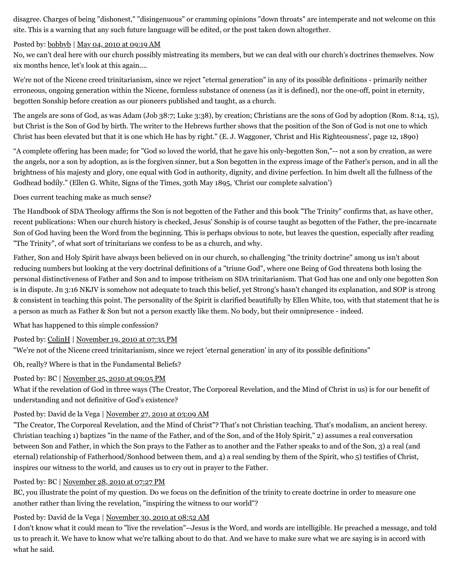disagree. Charges of being "dishonest," "disingenuous" or cramming opinions "down throats" are intemperate and not welcome on this site. This is a warning that any such future language will be edited, or the post taken down altogether.

#### Posted by: [bobbyb](http://web.archive.org/web/20120512062513/http://profile.typepad.com/rolexoguy) | [May 04, 2010 at 09:19 AM](http://web.archive.org/web/20120512062513/http://www.memorymeaningfaith.org/blog/2010/03/the-trinity-is-a-paradox.html?cid=6a01287656f488970c0134805d060f970c#comment-6a01287656f488970c0134805d060f970c)

No, we can't deal here with our church possibly mistreating its members, but we can deal with our church's doctrines themselves. Now six months hence, let's look at this again....

We're not of the Nicene creed trinitarianism, since we reject "eternal generation" in any of its possible definitions - primarily neither erroneous, ongoing generation within the Nicene, formless substance of oneness (as it is defined), nor the one-off, point in eternity, begotten Sonship before creation as our pioneers published and taught, as a church.

The angels are sons of God, as was Adam (Job 38:7; Luke 3:38), by creation; Christians are the sons of God by adoption (Rom. 8:14, 15), but Christ is the Son of God by birth. The writer to the Hebrews further shows that the position of the Son of God is not one to which Christ has been elevated but that it is one which He has by right." (E. J. Waggoner, 'Christ and His Righteousness', page 12, 1890)

"A complete offering has been made; for "God so loved the world, that he gave his only-begotten Son,"-- not a son by creation, as were the angels, nor a son by adoption, as is the forgiven sinner, but a Son begotten in the express image of the Father's person, and in all the brightness of his majesty and glory, one equal with God in authority, dignity, and divine perfection. In him dwelt all the fullness of the Godhead bodily." (Ellen G. White, Signs of the Times, 30th May 1895, 'Christ our complete salvation')

Does current teaching make as much sense?

The Handbook of SDA Theology affirms the Son is not begotten of the Father and this book "The Trinity" confirms that, as have other, recent publications: When our church history is checked, Jesus' Sonship is of course taught as begotten of the Father, the pre-incarnate Son of God having been the Word from the beginning. This is perhaps obvious to note, but leaves the question, especially after reading "The Trinity", of what sort of trinitarians we confess to be as a church, and why.

Father, Son and Holy Spirit have always been believed on in our church, so challenging "the trinity doctrine" among us isn't about reducing numbers but looking at the very doctrinal definitions of a "triune God", where one Being of God threatens both losing the personal distinctiveness of Father and Son and to impose tritheism on SDA trinitarianism. That God has one and only one begotten Son is in dispute. Jn 3:16 NKJV is somehow not adequate to teach this belief, yet Strong's hasn't changed its explanation, and SOP is strong & consistent in teaching this point. The personality of the Spirit is clarified beautifully by Ellen White, too, with that statement that he is a person as much as Father & Son but not a person exactly like them. No body, but their omnipresence - indeed.

What has happened to this simple confession?

Posted by: [ColinH](http://web.archive.org/web/20120512062513/http://profile.typepad.com/colin13) | [November 19, 2010 at 07:35 PM](http://web.archive.org/web/20120512062513/http://www.memorymeaningfaith.org/blog/2010/03/the-trinity-is-a-paradox.html?cid=6a01287656f488970c0134893cbceb970c#comment-6a01287656f488970c0134893cbceb970c)

"We're not of the Nicene creed trinitarianism, since we reject 'eternal generation' in any of its possible definitions"

Oh, really? Where is that in the Fundamental Beliefs?

# Posted by: BC | [November 25, 2010 at 09:05 PM](http://web.archive.org/web/20120512062513/http://www.memorymeaningfaith.org/blog/2010/03/the-trinity-is-a-paradox.html?cid=6a01287656f488970c0147e0288b2a970b#comment-6a01287656f488970c0147e0288b2a970b)

What if the revelation of God in three ways (The Creator, The Corporeal Revelation, and the Mind of Christ in us) is for our benefit of understanding and not definitive of God's existence?

# Posted by: David de la Vega | [November 27, 2010 at 03:09 AM](http://web.archive.org/web/20120512062513/http://www.memorymeaningfaith.org/blog/2010/03/the-trinity-is-a-paradox.html?cid=6a01287656f488970c0134898c29b6970c#comment-6a01287656f488970c0134898c29b6970c)

"The Creator, The Corporeal Revelation, and the Mind of Christ"? That's not Christian teaching. That's modalism, an ancient heresy. Christian teaching 1) baptizes "in the name of the Father, and of the Son, and of the Holy Spirit," 2) assumes a real conversation between Son and Father, in which the Son prays to the Father as to another and the Father speaks to and of the Son, 3) a real (and eternal) relationship of Fatherhood/Sonhood between them, and 4) a real sending by them of the Spirit, who 5) testifies of Christ, inspires our witness to the world, and causes us to cry out in prayer to the Father.

# Posted by: BC | [November 28, 2010 at 07:27 PM](http://web.archive.org/web/20120512062513/http://www.memorymeaningfaith.org/blog/2010/03/the-trinity-is-a-paradox.html?cid=6a01287656f488970c013489954100970c#comment-6a01287656f488970c013489954100970c)

BC, you illustrate the point of my question. Do we focus on the definition of the trinity to create doctrine in order to measure one another rather than living the revelation, "inspiring the witness to our world"?

# Posted by: David de la Vega | [November 30, 2010 at 08:52 AM](http://web.archive.org/web/20120512062513/http://www.memorymeaningfaith.org/blog/2010/03/the-trinity-is-a-paradox.html?cid=6a01287656f488970c0147e0432d77970b#comment-6a01287656f488970c0147e0432d77970b)

I don't know what it could mean to "live the revelation"--Jesus is the Word, and words are intelligible. He preached a message, and told us to preach it. We have to know what we're talking about to do that. And we have to make sure what we are saying is in accord with what he said.